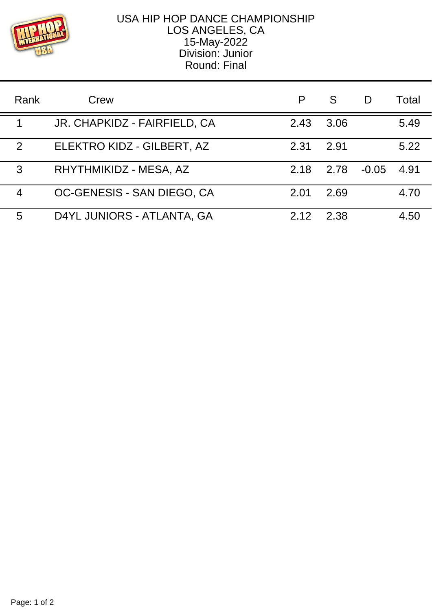

## USA HIP HOP DANCE CHAMPIONSHIP LOS ANGELES, CA 15-May-2022 Division: Junior Round: Final

| Rank | Crew                         |       | S    | D       | Total |
|------|------------------------------|-------|------|---------|-------|
|      | JR. CHAPKIDZ - FAIRFIELD, CA | 2.43  | 3.06 |         | 5.49  |
| 2    | ELEKTRO KIDZ - GILBERT, AZ   | 2.31  | 2.91 |         | 5.22  |
| 3    | RHYTHMIKIDZ - MESA, AZ       | 2.18  | 2.78 | $-0.05$ | 4.91  |
| 4    | OC-GENESIS - SAN DIEGO, CA   | 2.01  | 2.69 |         | 4.70  |
| 5    | D4YL JUNIORS - ATLANTA, GA   | 2 1 2 | 2.38 |         | 4.50  |